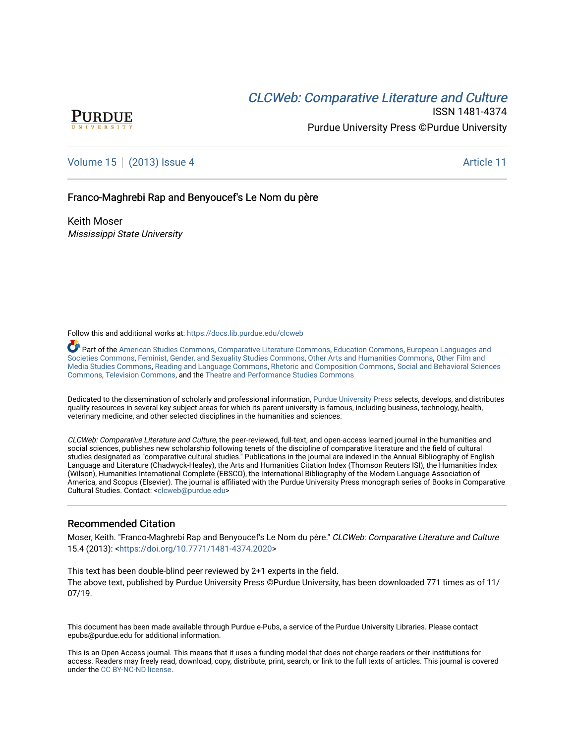# **CLCW[eb: Comparative Liter](https://docs.lib.purdue.edu/clcweb)ature and Culture**



ISSN 1481-4374 Purdue University Press ©Purdue University

## [Volume 15](https://docs.lib.purdue.edu/clcweb/vol15) | [\(2013\) Issue 4](https://docs.lib.purdue.edu/clcweb/vol15/iss4) Article 11

### Franco-Maghrebi Rap and Benyoucef's Le Nom du père

Keith Moser Mississippi State University

Follow this and additional works at: [https://docs.lib.purdue.edu/clcweb](https://docs.lib.purdue.edu/clcweb?utm_source=docs.lib.purdue.edu%2Fclcweb%2Fvol15%2Fiss4%2F11&utm_medium=PDF&utm_campaign=PDFCoverPages)

Part of the [American Studies Commons](http://network.bepress.com/hgg/discipline/439?utm_source=docs.lib.purdue.edu%2Fclcweb%2Fvol15%2Fiss4%2F11&utm_medium=PDF&utm_campaign=PDFCoverPages), [Comparative Literature Commons,](http://network.bepress.com/hgg/discipline/454?utm_source=docs.lib.purdue.edu%2Fclcweb%2Fvol15%2Fiss4%2F11&utm_medium=PDF&utm_campaign=PDFCoverPages) [Education Commons,](http://network.bepress.com/hgg/discipline/784?utm_source=docs.lib.purdue.edu%2Fclcweb%2Fvol15%2Fiss4%2F11&utm_medium=PDF&utm_campaign=PDFCoverPages) [European Languages and](http://network.bepress.com/hgg/discipline/482?utm_source=docs.lib.purdue.edu%2Fclcweb%2Fvol15%2Fiss4%2F11&utm_medium=PDF&utm_campaign=PDFCoverPages) [Societies Commons](http://network.bepress.com/hgg/discipline/482?utm_source=docs.lib.purdue.edu%2Fclcweb%2Fvol15%2Fiss4%2F11&utm_medium=PDF&utm_campaign=PDFCoverPages), [Feminist, Gender, and Sexuality Studies Commons,](http://network.bepress.com/hgg/discipline/559?utm_source=docs.lib.purdue.edu%2Fclcweb%2Fvol15%2Fiss4%2F11&utm_medium=PDF&utm_campaign=PDFCoverPages) [Other Arts and Humanities Commons](http://network.bepress.com/hgg/discipline/577?utm_source=docs.lib.purdue.edu%2Fclcweb%2Fvol15%2Fiss4%2F11&utm_medium=PDF&utm_campaign=PDFCoverPages), [Other Film and](http://network.bepress.com/hgg/discipline/565?utm_source=docs.lib.purdue.edu%2Fclcweb%2Fvol15%2Fiss4%2F11&utm_medium=PDF&utm_campaign=PDFCoverPages)  [Media Studies Commons](http://network.bepress.com/hgg/discipline/565?utm_source=docs.lib.purdue.edu%2Fclcweb%2Fvol15%2Fiss4%2F11&utm_medium=PDF&utm_campaign=PDFCoverPages), [Reading and Language Commons](http://network.bepress.com/hgg/discipline/1037?utm_source=docs.lib.purdue.edu%2Fclcweb%2Fvol15%2Fiss4%2F11&utm_medium=PDF&utm_campaign=PDFCoverPages), [Rhetoric and Composition Commons,](http://network.bepress.com/hgg/discipline/573?utm_source=docs.lib.purdue.edu%2Fclcweb%2Fvol15%2Fiss4%2F11&utm_medium=PDF&utm_campaign=PDFCoverPages) [Social and Behavioral Sciences](http://network.bepress.com/hgg/discipline/316?utm_source=docs.lib.purdue.edu%2Fclcweb%2Fvol15%2Fiss4%2F11&utm_medium=PDF&utm_campaign=PDFCoverPages) [Commons,](http://network.bepress.com/hgg/discipline/316?utm_source=docs.lib.purdue.edu%2Fclcweb%2Fvol15%2Fiss4%2F11&utm_medium=PDF&utm_campaign=PDFCoverPages) [Television Commons,](http://network.bepress.com/hgg/discipline/1143?utm_source=docs.lib.purdue.edu%2Fclcweb%2Fvol15%2Fiss4%2F11&utm_medium=PDF&utm_campaign=PDFCoverPages) and the [Theatre and Performance Studies Commons](http://network.bepress.com/hgg/discipline/552?utm_source=docs.lib.purdue.edu%2Fclcweb%2Fvol15%2Fiss4%2F11&utm_medium=PDF&utm_campaign=PDFCoverPages)

Dedicated to the dissemination of scholarly and professional information, [Purdue University Press](http://www.thepress.purdue.edu/) selects, develops, and distributes quality resources in several key subject areas for which its parent university is famous, including business, technology, health, veterinary medicine, and other selected disciplines in the humanities and sciences.

CLCWeb: Comparative Literature and Culture, the peer-reviewed, full-text, and open-access learned journal in the humanities and social sciences, publishes new scholarship following tenets of the discipline of comparative literature and the field of cultural studies designated as "comparative cultural studies." Publications in the journal are indexed in the Annual Bibliography of English Language and Literature (Chadwyck-Healey), the Arts and Humanities Citation Index (Thomson Reuters ISI), the Humanities Index (Wilson), Humanities International Complete (EBSCO), the International Bibliography of the Modern Language Association of America, and Scopus (Elsevier). The journal is affiliated with the Purdue University Press monograph series of Books in Comparative Cultural Studies. Contact: [<clcweb@purdue.edu](mailto:clcweb@purdue.edu)>

### Recommended Citation

Moser, Keith. "Franco-Maghrebi Rap and Benyoucef's Le Nom du père." CLCWeb: Comparative Literature and Culture 15.4 (2013): [<https://doi.org/10.7771/1481-4374.2020>](https://doi.org/10.7771/1481-4374.2020)

This text has been double-blind peer reviewed by 2+1 experts in the field. The above text, published by Purdue University Press ©Purdue University, has been downloaded 771 times as of 11/ 07/19.

This document has been made available through Purdue e-Pubs, a service of the Purdue University Libraries. Please contact epubs@purdue.edu for additional information.

This is an Open Access journal. This means that it uses a funding model that does not charge readers or their institutions for access. Readers may freely read, download, copy, distribute, print, search, or link to the full texts of articles. This journal is covered under the [CC BY-NC-ND license.](https://creativecommons.org/licenses/by-nc-nd/4.0/)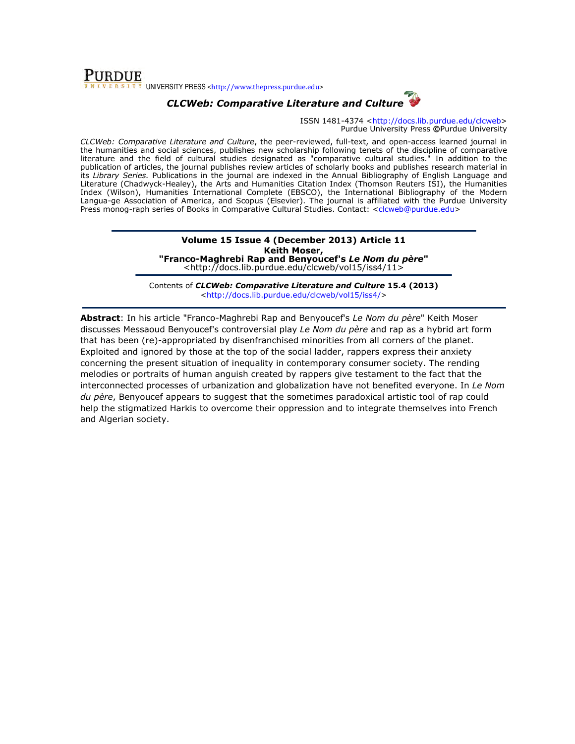

# CLCWeb: Comparative Literature and Culture

ISSN 1481-4374 <http://docs.lib.purdue.edu/clcweb> Purdue University Press ©Purdue University

CLCWeb: Comparative Literature and Culture, the peer-reviewed, full-text, and open-access learned journal in the humanities and social sciences, publishes new scholarship following tenets of the discipline of comparative literature and the field of cultural studies designated as "comparative cultural studies." In addition to the publication of articles, the journal publishes review articles of scholarly books and publishes research material in its Library Series. Publications in the journal are indexed in the Annual Bibliography of English Language and Literature (Chadwyck-Healey), the Arts and Humanities Citation Index (Thomson Reuters ISI), the Humanities Index (Wilson), Humanities International Complete (EBSCO), the International Bibliography of the Modern Langua-ge Association of America, and Scopus (Elsevier). The journal is affiliated with the Purdue University Press monog-raph series of Books in Comparative Cultural Studies. Contact: <clcweb@purdue.edu>

### Volume 15 Issue 4 (December 2013) Article 11 Keith Moser, "Franco-Maghrebi Rap and Benyoucef's Le Nom du père" <http://docs.lib.purdue.edu/clcweb/vol15/iss4/11>

Contents of CLCWeb: Comparative Literature and Culture 15.4 (2013) <http://docs.lib.purdue.edu/clcweb/vol15/iss4/>

Abstract: In his article "Franco-Maghrebi Rap and Benyoucef's Le Nom du père" Keith Moser discusses Messaoud Benyoucef's controversial play Le Nom du père and rap as a hybrid art form that has been (re)-appropriated by disenfranchised minorities from all corners of the planet. Exploited and ignored by those at the top of the social ladder, rappers express their anxiety concerning the present situation of inequality in contemporary consumer society. The rending melodies or portraits of human anguish created by rappers give testament to the fact that the interconnected processes of urbanization and globalization have not benefited everyone. In Le Nom du père, Benyoucef appears to suggest that the sometimes paradoxical artistic tool of rap could help the stigmatized Harkis to overcome their oppression and to integrate themselves into French and Algerian society.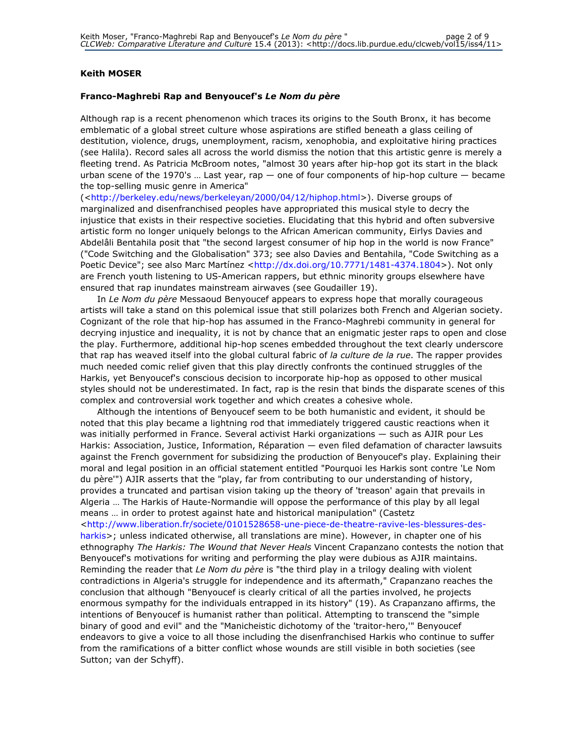### Keith MOSER

### Franco-Maghrebi Rap and Benyoucef's Le Nom du père

Although rap is a recent phenomenon which traces its origins to the South Bronx, it has become emblematic of a global street culture whose aspirations are stifled beneath a glass ceiling of destitution, violence, drugs, unemployment, racism, xenophobia, and exploitative hiring practices (see Halila). Record sales all across the world dismiss the notion that this artistic genre is merely a fleeting trend. As Patricia McBroom notes, "almost 30 years after hip-hop got its start in the black urban scene of the 1970's ... Last year, rap  $-$  one of four components of hip-hop culture  $-$  became the top-selling music genre in America"

(<http://berkeley.edu/news/berkeleyan/2000/04/12/hiphop.html>). Diverse groups of marginalized and disenfranchised peoples have appropriated this musical style to decry the injustice that exists in their respective societies. Elucidating that this hybrid and often subversive artistic form no longer uniquely belongs to the African American community, Eirlys Davies and Abdelâli Bentahila posit that "the second largest consumer of hip hop in the world is now France" ("Code Switching and the Globalisation" 373; see also Davies and Bentahila, "Code Switching as a Poetic Device"; see also Marc Martínez <http://dx.doi.org/10.7771/1481-4374.1804>). Not only are French youth listening to US-American rappers, but ethnic minority groups elsewhere have ensured that rap inundates mainstream airwaves (see Goudailler 19).

In Le Nom du père Messaoud Benyoucef appears to express hope that morally courageous artists will take a stand on this polemical issue that still polarizes both French and Algerian society. Cognizant of the role that hip-hop has assumed in the Franco-Maghrebi community in general for decrying injustice and inequality, it is not by chance that an enigmatic jester raps to open and close the play. Furthermore, additional hip-hop scenes embedded throughout the text clearly underscore that rap has weaved itself into the global cultural fabric of la culture de la rue. The rapper provides much needed comic relief given that this play directly confronts the continued struggles of the Harkis, yet Benyoucef's conscious decision to incorporate hip-hop as opposed to other musical styles should not be underestimated. In fact, rap is the resin that binds the disparate scenes of this complex and controversial work together and which creates a cohesive whole.

Although the intentions of Benyoucef seem to be both humanistic and evident, it should be noted that this play became a lightning rod that immediately triggered caustic reactions when it was initially performed in France. Several activist Harki organizations — such as AJIR pour Les Harkis: Association, Justice, Information, Réparation — even filed defamation of character lawsuits against the French government for subsidizing the production of Benyoucef's play. Explaining their moral and legal position in an official statement entitled "Pourquoi les Harkis sont contre 'Le Nom du père'") AJIR asserts that the "play, far from contributing to our understanding of history, provides a truncated and partisan vision taking up the theory of 'treason' again that prevails in Algeria … The Harkis of Haute-Normandie will oppose the performance of this play by all legal means … in order to protest against hate and historical manipulation" (Castetz <http://www.liberation.fr/societe/0101528658-une-piece-de-theatre-ravive-les-blessures-desharkis>; unless indicated otherwise, all translations are mine). However, in chapter one of his

ethnography The Harkis: The Wound that Never Heals Vincent Crapanzano contests the notion that Benyoucef's motivations for writing and performing the play were dubious as AJIR maintains. Reminding the reader that Le Nom du père is "the third play in a trilogy dealing with violent contradictions in Algeria's struggle for independence and its aftermath," Crapanzano reaches the conclusion that although "Benyoucef is clearly critical of all the parties involved, he projects enormous sympathy for the individuals entrapped in its history" (19). As Crapanzano affirms, the intentions of Benyoucef is humanist rather than political. Attempting to transcend the "simple binary of good and evil" and the "Manicheistic dichotomy of the 'traitor-hero,'" Benyoucef endeavors to give a voice to all those including the disenfranchised Harkis who continue to suffer from the ramifications of a bitter conflict whose wounds are still visible in both societies (see Sutton; van der Schyff).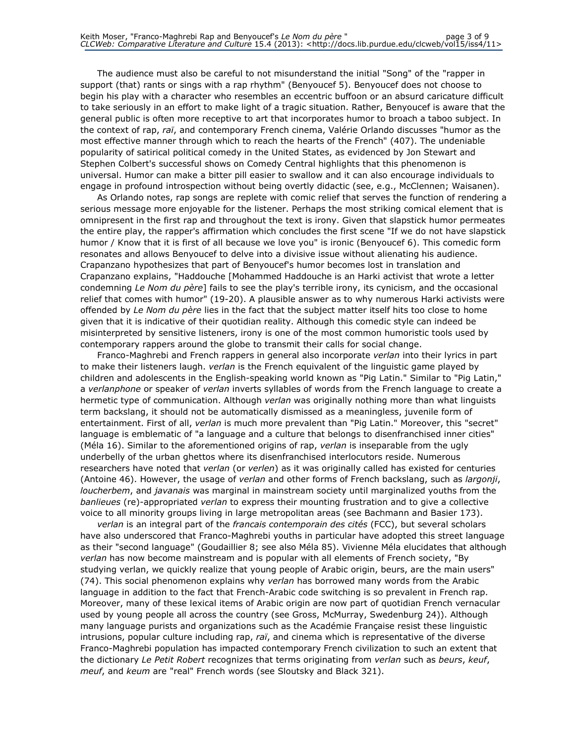The audience must also be careful to not misunderstand the initial "Song" of the "rapper in support (that) rants or sings with a rap rhythm" (Benyoucef 5). Benyoucef does not choose to begin his play with a character who resembles an eccentric buffoon or an absurd caricature difficult to take seriously in an effort to make light of a tragic situation. Rather, Benyoucef is aware that the general public is often more receptive to art that incorporates humor to broach a taboo subject. In the context of rap, raï, and contemporary French cinema, Valérie Orlando discusses "humor as the most effective manner through which to reach the hearts of the French" (407). The undeniable popularity of satirical political comedy in the United States, as evidenced by Jon Stewart and Stephen Colbert's successful shows on Comedy Central highlights that this phenomenon is universal. Humor can make a bitter pill easier to swallow and it can also encourage individuals to engage in profound introspection without being overtly didactic (see, e.g., McClennen; Waisanen).

As Orlando notes, rap songs are replete with comic relief that serves the function of rendering a serious message more enjoyable for the listener. Perhaps the most striking comical element that is omnipresent in the first rap and throughout the text is irony. Given that slapstick humor permeates the entire play, the rapper's affirmation which concludes the first scene "If we do not have slapstick humor / Know that it is first of all because we love you" is ironic (Benyoucef 6). This comedic form resonates and allows Benyoucef to delve into a divisive issue without alienating his audience. Crapanzano hypothesizes that part of Benyoucef's humor becomes lost in translation and Crapanzano explains, "Haddouche [Mohammed Haddouche is an Harki activist that wrote a letter condemning Le Nom du père] fails to see the play's terrible irony, its cynicism, and the occasional relief that comes with humor" (19-20). A plausible answer as to why numerous Harki activists were offended by Le Nom du père lies in the fact that the subject matter itself hits too close to home given that it is indicative of their quotidian reality. Although this comedic style can indeed be misinterpreted by sensitive listeners, irony is one of the most common humoristic tools used by contemporary rappers around the globe to transmit their calls for social change.

Franco-Maghrebi and French rappers in general also incorporate verlan into their lyrics in part to make their listeners laugh. *verlan* is the French equivalent of the linguistic game played by children and adolescents in the English-speaking world known as "Pig Latin." Similar to "Pig Latin," a verlanphone or speaker of verlan inverts syllables of words from the French language to create a hermetic type of communication. Although *verlan* was originally nothing more than what linguists term backslang, it should not be automatically dismissed as a meaningless, juvenile form of entertainment. First of all, verlan is much more prevalent than "Pig Latin." Moreover, this "secret" language is emblematic of "a language and a culture that belongs to disenfranchised inner cities" (Méla 16). Similar to the aforementioned origins of rap, verlan is inseparable from the ugly underbelly of the urban ghettos where its disenfranchised interlocutors reside. Numerous researchers have noted that verlan (or verlen) as it was originally called has existed for centuries (Antoine 46). However, the usage of verlan and other forms of French backslang, such as largonji, loucherbem, and javanais was marginal in mainstream society until marginalized youths from the banlieues (re)-appropriated verlan to express their mounting frustration and to give a collective voice to all minority groups living in large metropolitan areas (see Bachmann and Basier 173).

verlan is an integral part of the *francais contemporain des cités* (FCC), but several scholars have also underscored that Franco-Maghrebi youths in particular have adopted this street language as their "second language" (Goudaillier 8; see also Méla 85). Vivienne Méla elucidates that although verlan has now become mainstream and is popular with all elements of French society, "By studying verlan, we quickly realize that young people of Arabic origin, beurs, are the main users" (74). This social phenomenon explains why verlan has borrowed many words from the Arabic language in addition to the fact that French-Arabic code switching is so prevalent in French rap. Moreover, many of these lexical items of Arabic origin are now part of quotidian French vernacular used by young people all across the country (see Gross, McMurray, Swedenburg 24)). Although many language purists and organizations such as the Académie Française resist these linguistic intrusions, popular culture including rap, rai, and cinema which is representative of the diverse Franco-Maghrebi population has impacted contemporary French civilization to such an extent that the dictionary Le Petit Robert recognizes that terms originating from verlan such as beurs, keuf, meuf, and keum are "real" French words (see Sloutsky and Black 321).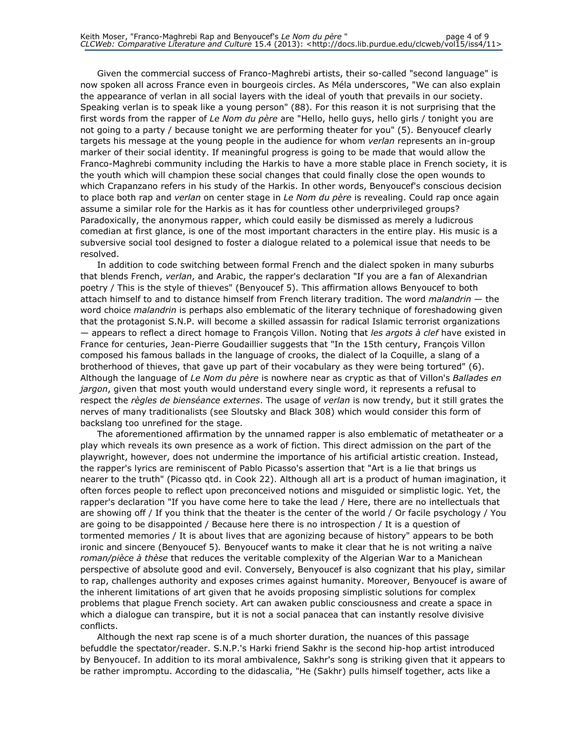Given the commercial success of Franco-Maghrebi artists, their so-called "second language" is now spoken all across France even in bourgeois circles. As Méla underscores, "We can also explain the appearance of verlan in all social layers with the ideal of youth that prevails in our society. Speaking verlan is to speak like a young person" (88). For this reason it is not surprising that the first words from the rapper of Le Nom du père are "Hello, hello guys, hello girls / tonight you are not going to a party / because tonight we are performing theater for you" (5). Benyoucef clearly targets his message at the young people in the audience for whom verlan represents an in-group marker of their social identity. If meaningful progress is going to be made that would allow the Franco-Maghrebi community including the Harkis to have a more stable place in French society, it is the youth which will champion these social changes that could finally close the open wounds to which Crapanzano refers in his study of the Harkis. In other words, Benyoucef's conscious decision to place both rap and verlan on center stage in Le Nom du père is revealing. Could rap once again assume a similar role for the Harkis as it has for countless other underprivileged groups? Paradoxically, the anonymous rapper, which could easily be dismissed as merely a ludicrous comedian at first glance, is one of the most important characters in the entire play. His music is a subversive social tool designed to foster a dialogue related to a polemical issue that needs to be resolved.

In addition to code switching between formal French and the dialect spoken in many suburbs that blends French, verlan, and Arabic, the rapper's declaration "If you are a fan of Alexandrian poetry / This is the style of thieves" (Benyoucef 5). This affirmation allows Benyoucef to both attach himself to and to distance himself from French literary tradition. The word *malandrin* - the word choice *malandrin* is perhaps also emblematic of the literary technique of foreshadowing given that the protagonist S.N.P. will become a skilled assassin for radical Islamic terrorist organizations — appears to reflect a direct homage to François Villon. Noting that les argots à clef have existed in France for centuries, Jean-Pierre Goudaillier suggests that "In the 15th century, François Villon composed his famous ballads in the language of crooks, the dialect of la Coquille, a slang of a brotherhood of thieves, that gave up part of their vocabulary as they were being tortured" (6). Although the language of Le Nom du père is nowhere near as cryptic as that of Villon's Ballades en jargon, given that most youth would understand every single word, it represents a refusal to respect the règles de bienséance externes. The usage of verlan is now trendy, but it still grates the nerves of many traditionalists (see Sloutsky and Black 308) which would consider this form of backslang too unrefined for the stage.

The aforementioned affirmation by the unnamed rapper is also emblematic of metatheater or a play which reveals its own presence as a work of fiction. This direct admission on the part of the playwright, however, does not undermine the importance of his artificial artistic creation. Instead, the rapper's lyrics are reminiscent of Pablo Picasso's assertion that "Art is a lie that brings us nearer to the truth" (Picasso qtd. in Cook 22). Although all art is a product of human imagination, it often forces people to reflect upon preconceived notions and misguided or simplistic logic. Yet, the rapper's declaration "If you have come here to take the lead / Here, there are no intellectuals that are showing off / If you think that the theater is the center of the world / Or facile psychology / You are going to be disappointed / Because here there is no introspection / It is a question of tormented memories / It is about lives that are agonizing because of history" appears to be both ironic and sincere (Benyoucef 5). Benyoucef wants to make it clear that he is not writing a naïve roman/pièce à thèse that reduces the veritable complexity of the Algerian War to a Manichean perspective of absolute good and evil. Conversely, Benyoucef is also cognizant that his play, similar to rap, challenges authority and exposes crimes against humanity. Moreover, Benyoucef is aware of the inherent limitations of art given that he avoids proposing simplistic solutions for complex problems that plague French society. Art can awaken public consciousness and create a space in which a dialogue can transpire, but it is not a social panacea that can instantly resolve divisive conflicts.

Although the next rap scene is of a much shorter duration, the nuances of this passage befuddle the spectator/reader. S.N.P.'s Harki friend Sakhr is the second hip-hop artist introduced by Benyoucef. In addition to its moral ambivalence, Sakhr's song is striking given that it appears to be rather impromptu. According to the didascalia, "He (Sakhr) pulls himself together, acts like a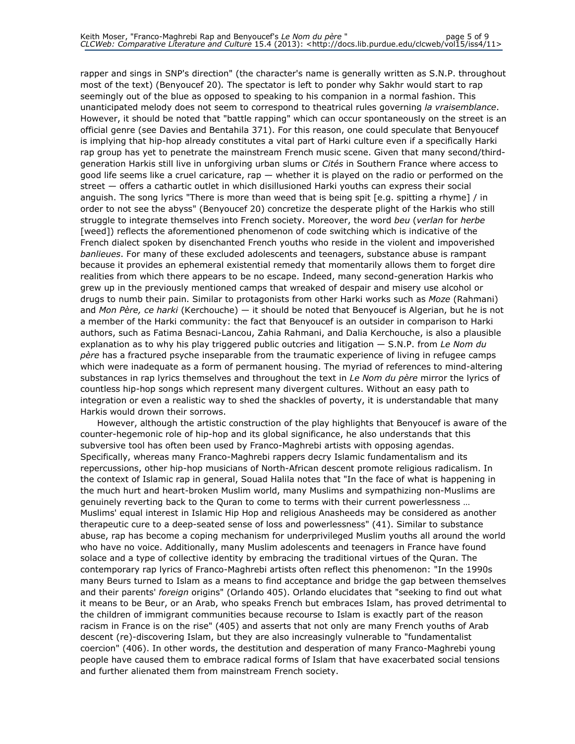rapper and sings in SNP's direction" (the character's name is generally written as S.N.P. throughout most of the text) (Benyoucef 20). The spectator is left to ponder why Sakhr would start to rap seemingly out of the blue as opposed to speaking to his companion in a normal fashion. This unanticipated melody does not seem to correspond to theatrical rules governing la vraisemblance. However, it should be noted that "battle rapping" which can occur spontaneously on the street is an official genre (see Davies and Bentahila 371). For this reason, one could speculate that Benyoucef is implying that hip-hop already constitutes a vital part of Harki culture even if a specifically Harki rap group has yet to penetrate the mainstream French music scene. Given that many second/thirdgeneration Harkis still live in unforgiving urban slums or Cités in Southern France where access to good life seems like a cruel caricature, rap — whether it is played on the radio or performed on the street — offers a cathartic outlet in which disillusioned Harki youths can express their social anguish. The song lyrics "There is more than weed that is being spit [e.g. spitting a rhyme] / in order to not see the abyss" (Benyoucef 20) concretize the desperate plight of the Harkis who still struggle to integrate themselves into French society. Moreover, the word beu (verlan for herbe [weed]) reflects the aforementioned phenomenon of code switching which is indicative of the French dialect spoken by disenchanted French youths who reside in the violent and impoverished banlieues. For many of these excluded adolescents and teenagers, substance abuse is rampant because it provides an ephemeral existential remedy that momentarily allows them to forget dire realities from which there appears to be no escape. Indeed, many second-generation Harkis who grew up in the previously mentioned camps that wreaked of despair and misery use alcohol or drugs to numb their pain. Similar to protagonists from other Harki works such as Moze (Rahmani) and Mon Père, ce harki (Kerchouche) — it should be noted that Benyoucef is Algerian, but he is not a member of the Harki community: the fact that Benyoucef is an outsider in comparison to Harki authors, such as Fatima Besnaci-Lancou, Zahia Rahmani, and Dalia Kerchouche, is also a plausible explanation as to why his play triggered public outcries and litigation  $-$  S.N.P. from Le Nom du père has a fractured psyche inseparable from the traumatic experience of living in refugee camps which were inadequate as a form of permanent housing. The myriad of references to mind-altering substances in rap lyrics themselves and throughout the text in Le Nom du père mirror the lyrics of countless hip-hop songs which represent many divergent cultures. Without an easy path to integration or even a realistic way to shed the shackles of poverty, it is understandable that many Harkis would drown their sorrows.

However, although the artistic construction of the play highlights that Benyoucef is aware of the counter-hegemonic role of hip-hop and its global significance, he also understands that this subversive tool has often been used by Franco-Maghrebi artists with opposing agendas. Specifically, whereas many Franco-Maghrebi rappers decry Islamic fundamentalism and its repercussions, other hip-hop musicians of North-African descent promote religious radicalism. In the context of Islamic rap in general, Souad Halila notes that "In the face of what is happening in the much hurt and heart-broken Muslim world, many Muslims and sympathizing non-Muslims are genuinely reverting back to the Quran to come to terms with their current powerlessness … Muslims' equal interest in Islamic Hip Hop and religious Anasheeds may be considered as another therapeutic cure to a deep-seated sense of loss and powerlessness" (41). Similar to substance abuse, rap has become a coping mechanism for underprivileged Muslim youths all around the world who have no voice. Additionally, many Muslim adolescents and teenagers in France have found solace and a type of collective identity by embracing the traditional virtues of the Quran. The contemporary rap lyrics of Franco-Maghrebi artists often reflect this phenomenon: "In the 1990s many Beurs turned to Islam as a means to find acceptance and bridge the gap between themselves and their parents' foreign origins" (Orlando 405). Orlando elucidates that "seeking to find out what it means to be Beur, or an Arab, who speaks French but embraces Islam, has proved detrimental to the children of immigrant communities because recourse to Islam is exactly part of the reason racism in France is on the rise" (405) and asserts that not only are many French youths of Arab descent (re)-discovering Islam, but they are also increasingly vulnerable to "fundamentalist coercion" (406). In other words, the destitution and desperation of many Franco-Maghrebi young people have caused them to embrace radical forms of Islam that have exacerbated social tensions and further alienated them from mainstream French society.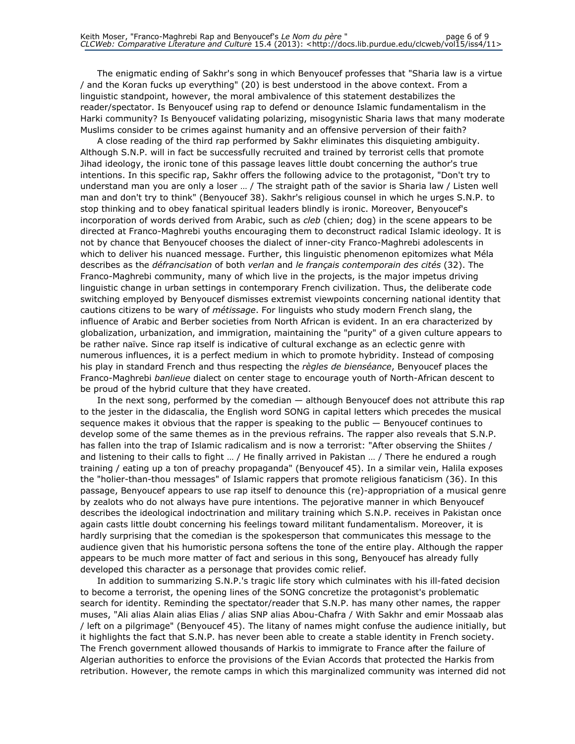The enigmatic ending of Sakhr's song in which Benyoucef professes that "Sharia law is a virtue / and the Koran fucks up everything" (20) is best understood in the above context. From a linguistic standpoint, however, the moral ambivalence of this statement destabilizes the reader/spectator. Is Benyoucef using rap to defend or denounce Islamic fundamentalism in the Harki community? Is Benyoucef validating polarizing, misogynistic Sharia laws that many moderate Muslims consider to be crimes against humanity and an offensive perversion of their faith?

A close reading of the third rap performed by Sakhr eliminates this disquieting ambiguity. Although S.N.P. will in fact be successfully recruited and trained by terrorist cells that promote Jihad ideology, the ironic tone of this passage leaves little doubt concerning the author's true intentions. In this specific rap, Sakhr offers the following advice to the protagonist, "Don't try to understand man you are only a loser … / The straight path of the savior is Sharia law / Listen well man and don't try to think" (Benyoucef 38). Sakhr's religious counsel in which he urges S.N.P. to stop thinking and to obey fanatical spiritual leaders blindly is ironic. Moreover, Benyoucef's incorporation of words derived from Arabic, such as *cleb* (chien; dog) in the scene appears to be directed at Franco-Maghrebi youths encouraging them to deconstruct radical Islamic ideology. It is not by chance that Benyoucef chooses the dialect of inner-city Franco-Maghrebi adolescents in which to deliver his nuanced message. Further, this linguistic phenomenon epitomizes what Méla describes as the *défrancisation* of both verlan and le français contemporain des cités (32). The Franco-Maghrebi community, many of which live in the projects, is the major impetus driving linguistic change in urban settings in contemporary French civilization. Thus, the deliberate code switching employed by Benyoucef dismisses extremist viewpoints concerning national identity that cautions citizens to be wary of métissage. For linguists who study modern French slang, the influence of Arabic and Berber societies from North African is evident. In an era characterized by globalization, urbanization, and immigration, maintaining the "purity" of a given culture appears to be rather naïve. Since rap itself is indicative of cultural exchange as an eclectic genre with numerous influences, it is a perfect medium in which to promote hybridity. Instead of composing his play in standard French and thus respecting the règles de bienséance, Benyoucef places the Franco-Maghrebi banlieue dialect on center stage to encourage youth of North-African descent to be proud of the hybrid culture that they have created.

In the next song, performed by the comedian — although Benyoucef does not attribute this rap to the jester in the didascalia, the English word SONG in capital letters which precedes the musical sequence makes it obvious that the rapper is speaking to the public — Benyoucef continues to develop some of the same themes as in the previous refrains. The rapper also reveals that S.N.P. has fallen into the trap of Islamic radicalism and is now a terrorist: "After observing the Shiites / and listening to their calls to fight ... / He finally arrived in Pakistan ... / There he endured a rough training / eating up a ton of preachy propaganda" (Benyoucef 45). In a similar vein, Halila exposes the "holier-than-thou messages" of Islamic rappers that promote religious fanaticism (36). In this passage, Benyoucef appears to use rap itself to denounce this (re)-appropriation of a musical genre by zealots who do not always have pure intentions. The pejorative manner in which Benyoucef describes the ideological indoctrination and military training which S.N.P. receives in Pakistan once again casts little doubt concerning his feelings toward militant fundamentalism. Moreover, it is hardly surprising that the comedian is the spokesperson that communicates this message to the audience given that his humoristic persona softens the tone of the entire play. Although the rapper appears to be much more matter of fact and serious in this song, Benyoucef has already fully developed this character as a personage that provides comic relief.

In addition to summarizing S.N.P.'s tragic life story which culminates with his ill-fated decision to become a terrorist, the opening lines of the SONG concretize the protagonist's problematic search for identity. Reminding the spectator/reader that S.N.P. has many other names, the rapper muses, "Ali alias Alain alias Elias / alias SNP alias Abou-Chafra / With Sakhr and emir Mossaab alas / left on a pilgrimage" (Benyoucef 45). The litany of names might confuse the audience initially, but it highlights the fact that S.N.P. has never been able to create a stable identity in French society. The French government allowed thousands of Harkis to immigrate to France after the failure of Algerian authorities to enforce the provisions of the Evian Accords that protected the Harkis from retribution. However, the remote camps in which this marginalized community was interned did not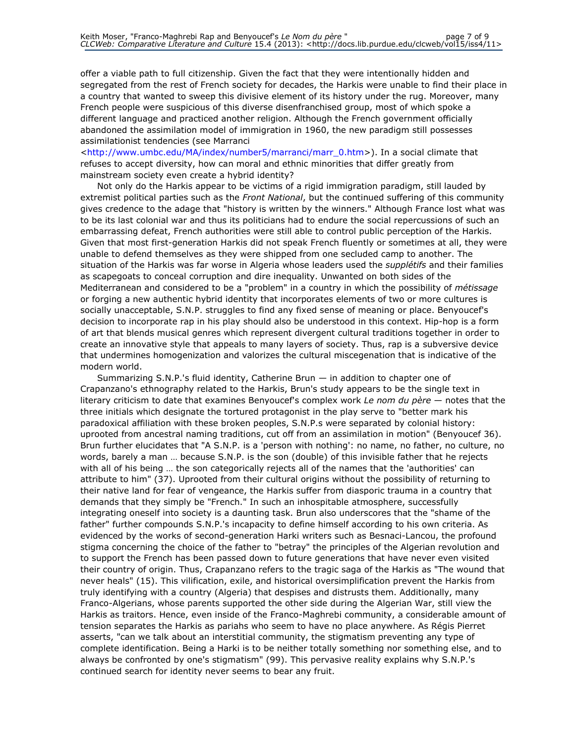offer a viable path to full citizenship. Given the fact that they were intentionally hidden and segregated from the rest of French society for decades, the Harkis were unable to find their place in a country that wanted to sweep this divisive element of its history under the rug. Moreover, many French people were suspicious of this diverse disenfranchised group, most of which spoke a different language and practiced another religion. Although the French government officially abandoned the assimilation model of immigration in 1960, the new paradigm still possesses assimilationist tendencies (see Marranci

<http://www.umbc.edu/MA/index/number5/marranci/marr\_0.htm>). In a social climate that refuses to accept diversity, how can moral and ethnic minorities that differ greatly from mainstream society even create a hybrid identity?

Not only do the Harkis appear to be victims of a rigid immigration paradigm, still lauded by extremist political parties such as the Front National, but the continued suffering of this community gives credence to the adage that "history is written by the winners." Although France lost what was to be its last colonial war and thus its politicians had to endure the social repercussions of such an embarrassing defeat, French authorities were still able to control public perception of the Harkis. Given that most first-generation Harkis did not speak French fluently or sometimes at all, they were unable to defend themselves as they were shipped from one secluded camp to another. The situation of the Harkis was far worse in Algeria whose leaders used the *supplétifs* and their families as scapegoats to conceal corruption and dire inequality. Unwanted on both sides of the Mediterranean and considered to be a "problem" in a country in which the possibility of *métissage* or forging a new authentic hybrid identity that incorporates elements of two or more cultures is socially unacceptable, S.N.P. struggles to find any fixed sense of meaning or place. Benyoucef's decision to incorporate rap in his play should also be understood in this context. Hip-hop is a form of art that blends musical genres which represent divergent cultural traditions together in order to create an innovative style that appeals to many layers of society. Thus, rap is a subversive device that undermines homogenization and valorizes the cultural miscegenation that is indicative of the modern world.

Summarizing S.N.P.'s fluid identity, Catherine Brun — in addition to chapter one of Crapanzano's ethnography related to the Harkis, Brun's study appears to be the single text in literary criticism to date that examines Benyoucef's complex work Le nom du père — notes that the three initials which designate the tortured protagonist in the play serve to "better mark his paradoxical affiliation with these broken peoples, S.N.P.s were separated by colonial history: uprooted from ancestral naming traditions, cut off from an assimilation in motion" (Benyoucef 36). Brun further elucidates that "A S.N.P. is a 'person with nothing': no name, no father, no culture, no words, barely a man … because S.N.P. is the son (double) of this invisible father that he rejects with all of his being … the son categorically rejects all of the names that the 'authorities' can attribute to him" (37). Uprooted from their cultural origins without the possibility of returning to their native land for fear of vengeance, the Harkis suffer from diasporic trauma in a country that demands that they simply be "French." In such an inhospitable atmosphere, successfully integrating oneself into society is a daunting task. Brun also underscores that the "shame of the father" further compounds S.N.P.'s incapacity to define himself according to his own criteria. As evidenced by the works of second-generation Harki writers such as Besnaci-Lancou, the profound stigma concerning the choice of the father to "betray" the principles of the Algerian revolution and to support the French has been passed down to future generations that have never even visited their country of origin. Thus, Crapanzano refers to the tragic saga of the Harkis as "The wound that never heals" (15). This vilification, exile, and historical oversimplification prevent the Harkis from truly identifying with a country (Algeria) that despises and distrusts them. Additionally, many Franco-Algerians, whose parents supported the other side during the Algerian War, still view the Harkis as traitors. Hence, even inside of the Franco-Maghrebi community, a considerable amount of tension separates the Harkis as pariahs who seem to have no place anywhere. As Régis Pierret asserts, "can we talk about an interstitial community, the stigmatism preventing any type of complete identification. Being a Harki is to be neither totally something nor something else, and to always be confronted by one's stigmatism" (99). This pervasive reality explains why S.N.P.'s continued search for identity never seems to bear any fruit.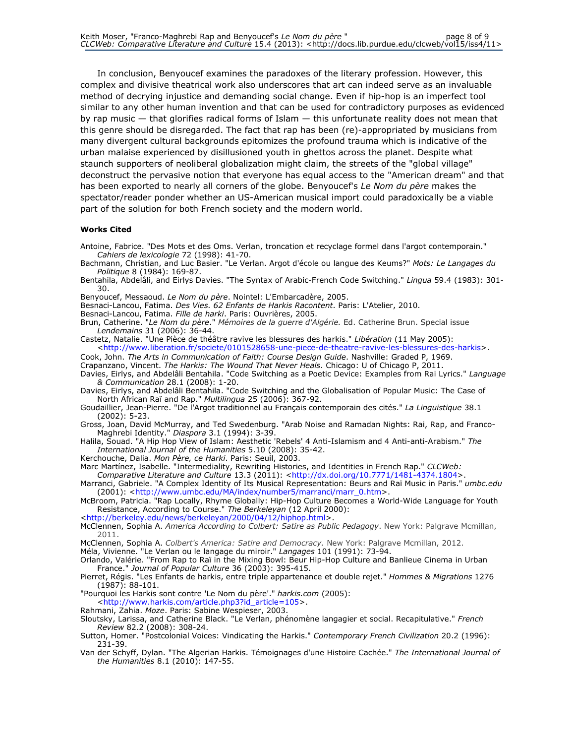In conclusion, Benyoucef examines the paradoxes of the literary profession. However, this complex and divisive theatrical work also underscores that art can indeed serve as an invaluable method of decrying injustice and demanding social change. Even if hip-hop is an imperfect tool similar to any other human invention and that can be used for contradictory purposes as evidenced by rap music — that glorifies radical forms of Islam — this unfortunate reality does not mean that this genre should be disregarded. The fact that rap has been (re)-appropriated by musicians from many divergent cultural backgrounds epitomizes the profound trauma which is indicative of the urban malaise experienced by disillusioned youth in ghettos across the planet. Despite what staunch supporters of neoliberal globalization might claim, the streets of the "global village" deconstruct the pervasive notion that everyone has equal access to the "American dream" and that has been exported to nearly all corners of the globe. Benyoucef's Le Nom du père makes the spectator/reader ponder whether an US-American musical import could paradoxically be a viable part of the solution for both French society and the modern world.

### Works Cited

Antoine, Fabrice. "Des Mots et des Oms. Verlan, troncation et recyclage formel dans l'argot contemporain." Cahiers de lexicologie 72 (1998): 41-70.

Bachmann, Christian, and Luc Basier. "Le Verlan. Argot d'école ou langue des Keums?" Mots: Le Langages du Politique 8 (1984): 169-87.

Bentahila, Abdelâli, and Eirlys Davies. "The Syntax of Arabic-French Code Switching." Lingua 59.4 (1983): 301- 30.

Benyoucef, Messaoud. Le Nom du père. Nointel: L'Embarcadère, 2005.

Besnaci-Lancou, Fatima. Des Vies. 62 Enfants de Harkis Racontent. Paris: L'Atelier, 2010.

Besnaci-Lancou, Fatima. Fille de harki. Paris: Ouvrières, 2005.

Brun, Catherine. "Le Nom du père." Mémoires de la guerre d'Algérie. Ed. Catherine Brun. Special issue Lendemains 31 (2006): 36-44.

Castetz, Natalie. "Une Pièce de théâtre ravive les blessures des harkis." Libération (11 May 2005): <http://www.liberation.fr/societe/0101528658-une-piece-de-theatre-ravive-les-blessures-des-harkis>.

Cook, John. The Arts in Communication of Faith: Course Design Guide. Nashville: Graded P, 1969.

Crapanzano, Vincent. The Harkis: The Wound That Never Heals. Chicago: U of Chicago P, 2011.

Davies, Eirlys, and Abdelâli Bentahila. "Code Switching as a Poetic Device: Examples from Rai Lyrics." Language & Communication 28.1 (2008): 1-20.

Davies, Eirlys, and Abdelâli Bentahila. "Code Switching and the Globalisation of Popular Music: The Case of North African Raï and Rap." Multilingua 25 (2006): 367-92.

Goudaillier, Jean-Pierre. "De l'Argot traditionnel au Français contemporain des cités." La Linguistique 38.1 (2002): 5-23.

Gross, Joan, David McMurray, and Ted Swedenburg. "Arab Noise and Ramadan Nights: Rai, Rap, and Franco-Maghrebi Identity." Diaspora 3.1 (1994): 3-39.

Halila, Souad. "A Hip Hop View of Islam: Aesthetic 'Rebels' 4 Anti-Islamism and 4 Anti-anti-Arabism." The International Journal of the Humanities 5.10 (2008): 35-42.

Kerchouche, Dalia. Mon Père, ce Harki. Paris: Seuil, 2003.

Marc Martínez, Isabelle. "Intermediality, Rewriting Histories, and Identities in French Rap." CLCWeb:

Comparative Literature and Culture 13.3 (2011): <http://dx.doi.org/10.7771/1481-4374.1804>. Marranci, Gabriele. "A Complex Identity of Its Musical Representation: Beurs and Raï Music in Paris." umbc.edu

(2001): <http://www.umbc.edu/MA/index/number5/marranci/marr\_0.htm>. McBroom, Patricia. "Rap Locally, Rhyme Globally: Hip-Hop Culture Becomes a World-Wide Language for Youth Resistance, According to Course." The Berkeleyan (12 April 2000):

<http://berkeley.edu/news/berkeleyan/2000/04/12/hiphop.html>.

McClennen, Sophia A. America According to Colbert: Satire as Public Pedagogy. New York: Palgrave Mcmillan, 2011.

McClennen, Sophia A. Colbert's America: Satire and Democracy. New York: Palgrave Mcmillan, 2012.

Méla, Vivienne. "Le Verlan ou le langage du miroir." Langages 101 (1991): 73-94.

Orlando, Valérie. "From Rap to Raï in the Mixing Bowl: Beur Hip-Hop Culture and Banlieue Cinema in Urban France." Journal of Popular Culture 36 (2003): 395-415.

Pierret, Régis. "Les Enfants de harkis, entre triple appartenance et double rejet." Hommes & Migrations 1276 (1987): 88-101.

"Pourquoi les Harkis sont contre 'Le Nom du père'." harkis.com (2005):

<http://www.harkis.com/article.php3?id\_article=105>.

Rahmani, Zahia. Moze. Paris: Sabine Wespieser, 2003.

Sloutsky, Larissa, and Catherine Black. "Le Verlan, phénomène langagier et social. Recapitulative." French Review 82.2 (2008): 308-24.

Sutton, Homer. "Postcolonial Voices: Vindicating the Harkis." Contemporary French Civilization 20.2 (1996): 231-39.

Van der Schyff, Dylan. "The Algerian Harkis. Témoignages d'une Histoire Cachée." The International Journal of the Humanities 8.1 (2010): 147-55.